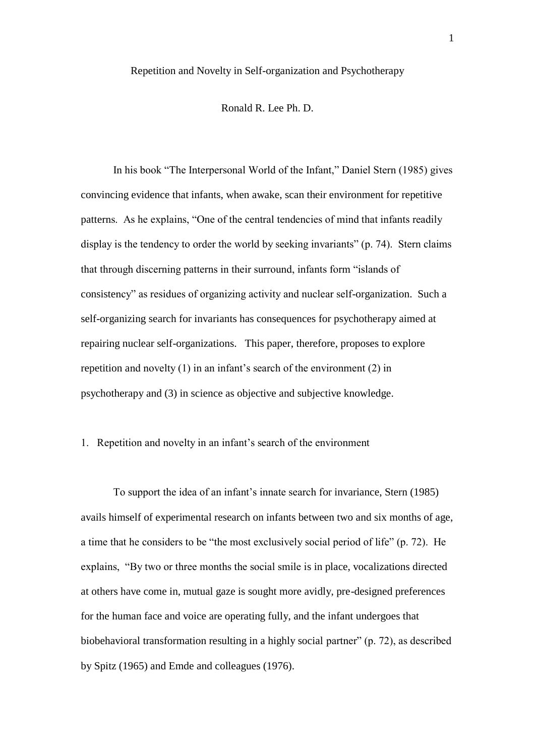### Repetition and Novelty in Self-organization and Psychotherapy

### Ronald R. Lee Ph. D.

In his book "The Interpersonal World of the Infant," Daniel Stern (1985) gives convincing evidence that infants, when awake, scan their environment for repetitive patterns. As he explains, "One of the central tendencies of mind that infants readily display is the tendency to order the world by seeking invariants" (p. 74). Stern claims that through discerning patterns in their surround, infants form "islands of consistency" as residues of organizing activity and nuclear self-organization. Such a self-organizing search for invariants has consequences for psychotherapy aimed at repairing nuclear self-organizations. This paper, therefore, proposes to explore repetition and novelty  $(1)$  in an infant's search of the environment  $(2)$  in psychotherapy and (3) in science as objective and subjective knowledge.

# 1. Repetition and novelty in an infant"s search of the environment

To support the idea of an infant"s innate search for invariance, Stern (1985) avails himself of experimental research on infants between two and six months of age, a time that he considers to be "the most exclusively social period of life" (p. 72). He explains, "By two or three months the social smile is in place, vocalizations directed at others have come in, mutual gaze is sought more avidly, pre-designed preferences for the human face and voice are operating fully, and the infant undergoes that biobehavioral transformation resulting in a highly social partner" (p. 72), as described by Spitz (1965) and Emde and colleagues (1976).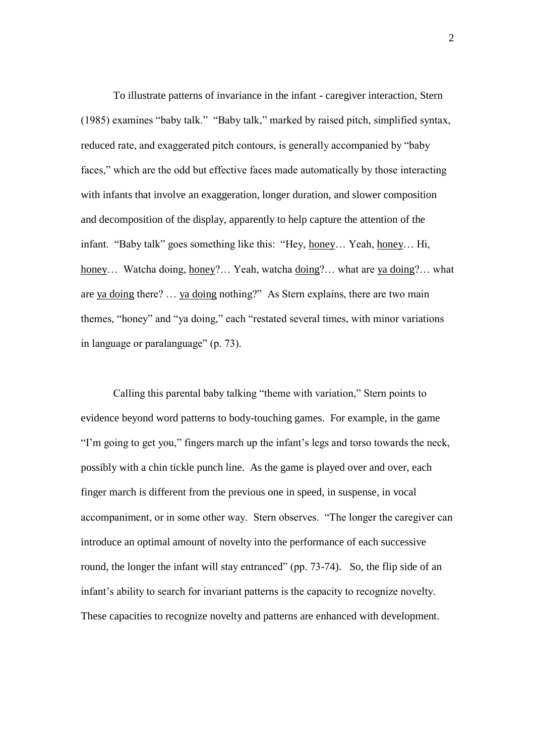To illustrate patterns of invariance in the infant - caregiver interaction, Stern (1985) examines "baby talk." "Baby talk," marked by raised pitch, simplified syntax, reduced rate, and exaggerated pitch contours, is generally accompanied by "baby faces," which are the odd but effective faces made automatically by those interacting with infants that involve an exaggeration, longer duration, and slower composition and decomposition of the display, apparently to help capture the attention of the infant. "Baby talk" goes something like this: "Hey, honey… Yeah, honey… Hi, honey... Watcha doing, honey?... Yeah, watcha doing?... what are ya doing?... what are ya doing there? … ya doing nothing?" As Stern explains, there are two main themes, "honey" and "ya doing," each "restated several times, with minor variations in language or paralanguage" (p. 73).

Calling this parental baby talking "theme with variation," Stern points to evidence beyond word patterns to body-touching games. For example, in the game "I"m going to get you," fingers march up the infant"s legs and torso towards the neck, possibly with a chin tickle punch line. As the game is played over and over, each finger march is different from the previous one in speed, in suspense, in vocal accompaniment, or in some other way. Stern observes. "The longer the caregiver can introduce an optimal amount of novelty into the performance of each successive round, the longer the infant will stay entranced" (pp. 73-74). So, the flip side of an infant"s ability to search for invariant patterns is the capacity to recognize novelty. These capacities to recognize novelty and patterns are enhanced with development.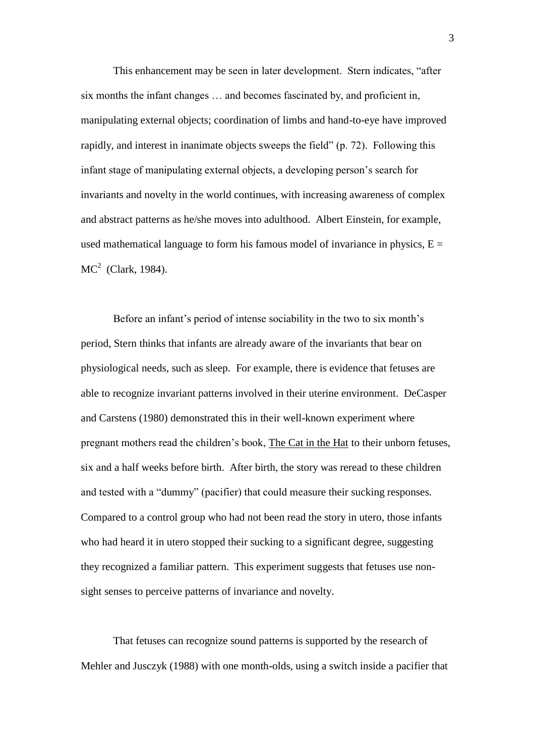This enhancement may be seen in later development. Stern indicates, "after six months the infant changes … and becomes fascinated by, and proficient in, manipulating external objects; coordination of limbs and hand-to-eye have improved rapidly, and interest in inanimate objects sweeps the field" (p. 72). Following this infant stage of manipulating external objects, a developing person"s search for invariants and novelty in the world continues, with increasing awareness of complex and abstract patterns as he/she moves into adulthood. Albert Einstein, for example, used mathematical language to form his famous model of invariance in physics,  $E =$  $MC<sup>2</sup>$  (Clark, 1984).

Before an infant's period of intense sociability in the two to six month's period, Stern thinks that infants are already aware of the invariants that bear on physiological needs, such as sleep. For example, there is evidence that fetuses are able to recognize invariant patterns involved in their uterine environment. DeCasper and Carstens (1980) demonstrated this in their well-known experiment where pregnant mothers read the children"s book, The Cat in the Hat to their unborn fetuses, six and a half weeks before birth. After birth, the story was reread to these children and tested with a "dummy" (pacifier) that could measure their sucking responses. Compared to a control group who had not been read the story in utero, those infants who had heard it in utero stopped their sucking to a significant degree, suggesting they recognized a familiar pattern. This experiment suggests that fetuses use nonsight senses to perceive patterns of invariance and novelty.

That fetuses can recognize sound patterns is supported by the research of Mehler and Jusczyk (1988) with one month-olds, using a switch inside a pacifier that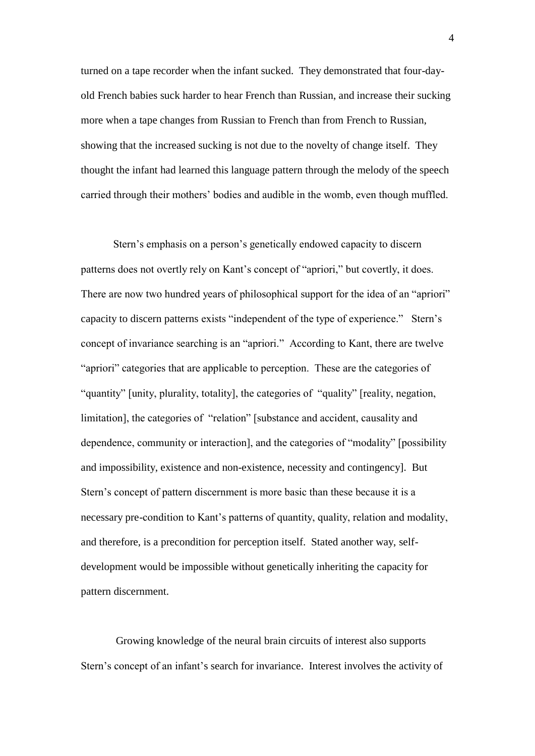turned on a tape recorder when the infant sucked. They demonstrated that four-dayold French babies suck harder to hear French than Russian, and increase their sucking more when a tape changes from Russian to French than from French to Russian, showing that the increased sucking is not due to the novelty of change itself. They thought the infant had learned this language pattern through the melody of the speech carried through their mothers" bodies and audible in the womb, even though muffled.

Stern"s emphasis on a person"s genetically endowed capacity to discern patterns does not overtly rely on Kant"s concept of "apriori," but covertly, it does. There are now two hundred years of philosophical support for the idea of an "apriori" capacity to discern patterns exists "independent of the type of experience." Stern"s concept of invariance searching is an "apriori." According to Kant, there are twelve "apriori" categories that are applicable to perception. These are the categories of "quantity" [unity, plurality, totality], the categories of "quality" [reality, negation, limitation], the categories of "relation" [substance and accident, causality and dependence, community or interaction], and the categories of "modality" [possibility and impossibility, existence and non-existence, necessity and contingency]. But Stern"s concept of pattern discernment is more basic than these because it is a necessary pre-condition to Kant"s patterns of quantity, quality, relation and modality, and therefore, is a precondition for perception itself. Stated another way, selfdevelopment would be impossible without genetically inheriting the capacity for pattern discernment.

Growing knowledge of the neural brain circuits of interest also supports Stern"s concept of an infant"s search for invariance. Interest involves the activity of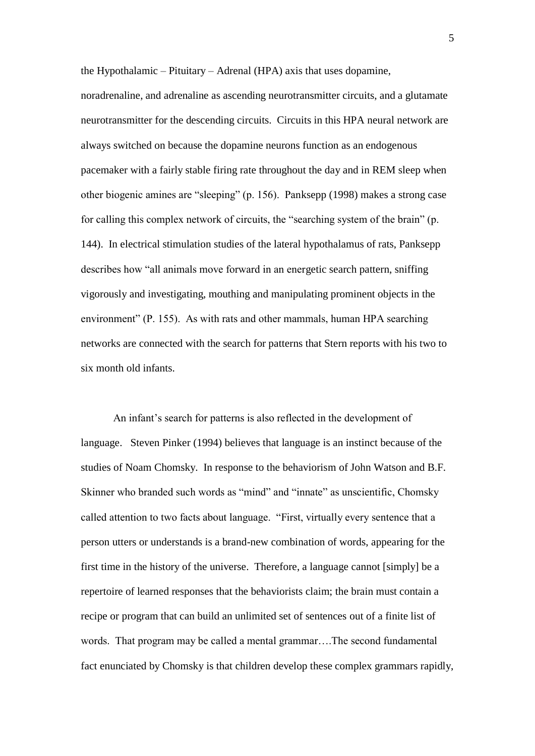the Hypothalamic – Pituitary – Adrenal (HPA) axis that uses dopamine,

noradrenaline, and adrenaline as ascending neurotransmitter circuits, and a glutamate neurotransmitter for the descending circuits. Circuits in this HPA neural network are always switched on because the dopamine neurons function as an endogenous pacemaker with a fairly stable firing rate throughout the day and in REM sleep when other biogenic amines are "sleeping" (p. 156). Panksepp (1998) makes a strong case for calling this complex network of circuits, the "searching system of the brain" (p. 144). In electrical stimulation studies of the lateral hypothalamus of rats, Panksepp describes how "all animals move forward in an energetic search pattern, sniffing vigorously and investigating, mouthing and manipulating prominent objects in the environment" (P. 155). As with rats and other mammals, human HPA searching networks are connected with the search for patterns that Stern reports with his two to six month old infants.

An infant"s search for patterns is also reflected in the development of language. Steven Pinker (1994) believes that language is an instinct because of the studies of Noam Chomsky. In response to the behaviorism of John Watson and B.F. Skinner who branded such words as "mind" and "innate" as unscientific, Chomsky called attention to two facts about language. "First, virtually every sentence that a person utters or understands is a brand-new combination of words, appearing for the first time in the history of the universe. Therefore, a language cannot [simply] be a repertoire of learned responses that the behaviorists claim; the brain must contain a recipe or program that can build an unlimited set of sentences out of a finite list of words. That program may be called a mental grammar….The second fundamental fact enunciated by Chomsky is that children develop these complex grammars rapidly,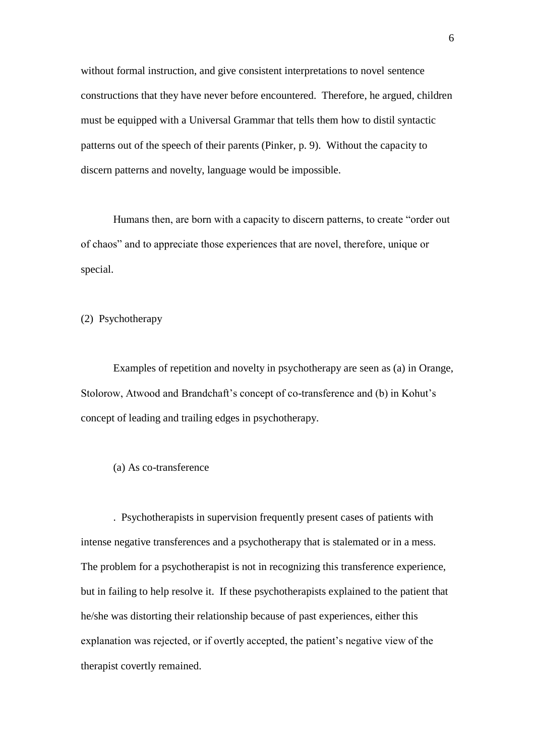without formal instruction, and give consistent interpretations to novel sentence constructions that they have never before encountered. Therefore, he argued, children must be equipped with a Universal Grammar that tells them how to distil syntactic patterns out of the speech of their parents (Pinker, p. 9). Without the capacity to discern patterns and novelty, language would be impossible.

Humans then, are born with a capacity to discern patterns, to create "order out of chaos" and to appreciate those experiences that are novel, therefore, unique or special.

(2) Psychotherapy

Examples of repetition and novelty in psychotherapy are seen as (a) in Orange, Stolorow, Atwood and Brandchaft's concept of co-transference and (b) in Kohut's concept of leading and trailing edges in psychotherapy.

# (a) As co-transference

. Psychotherapists in supervision frequently present cases of patients with intense negative transferences and a psychotherapy that is stalemated or in a mess. The problem for a psychotherapist is not in recognizing this transference experience, but in failing to help resolve it. If these psychotherapists explained to the patient that he/she was distorting their relationship because of past experiences, either this explanation was rejected, or if overtly accepted, the patient's negative view of the therapist covertly remained.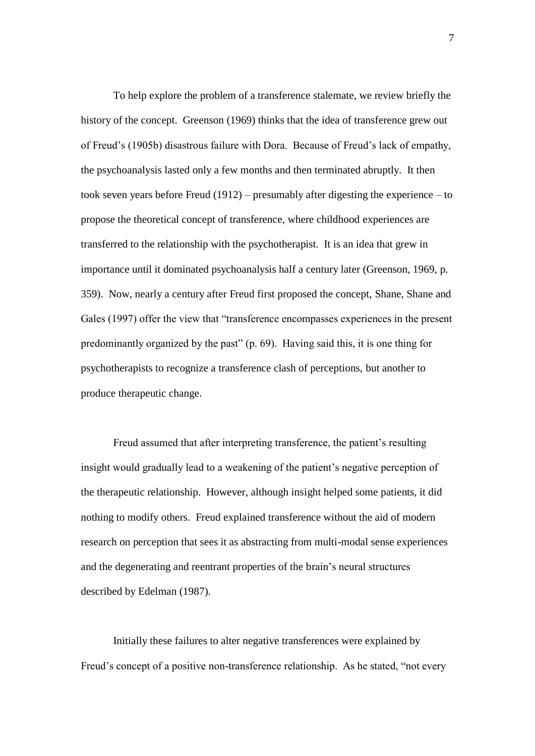To help explore the problem of a transference stalemate, we review briefly the history of the concept. Greenson (1969) thinks that the idea of transference grew out of Freud"s (1905b) disastrous failure with Dora. Because of Freud"s lack of empathy, the psychoanalysis lasted only a few months and then terminated abruptly. It then took seven years before Freud (1912) – presumably after digesting the experience – to propose the theoretical concept of transference, where childhood experiences are transferred to the relationship with the psychotherapist. It is an idea that grew in importance until it dominated psychoanalysis half a century later (Greenson, 1969, p. 359). Now, nearly a century after Freud first proposed the concept, Shane, Shane and Gales (1997) offer the view that "transference encompasses experiences in the present predominantly organized by the past" (p. 69). Having said this, it is one thing for psychotherapists to recognize a transference clash of perceptions, but another to produce therapeutic change.

Freud assumed that after interpreting transference, the patient's resulting insight would gradually lead to a weakening of the patient"s negative perception of the therapeutic relationship. However, although insight helped some patients, it did nothing to modify others. Freud explained transference without the aid of modern research on perception that sees it as abstracting from multi-modal sense experiences and the degenerating and reentrant properties of the brain"s neural structures described by Edelman (1987).

Initially these failures to alter negative transferences were explained by Freud's concept of a positive non-transference relationship. As he stated, "not every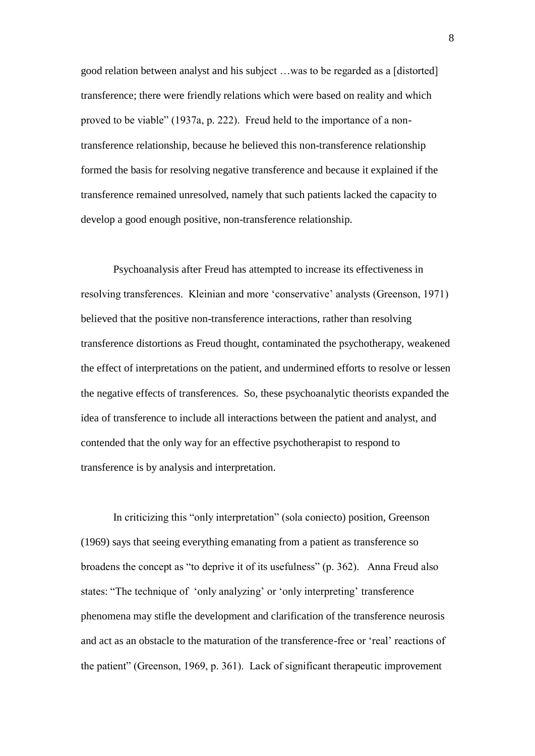good relation between analyst and his subject …was to be regarded as a [distorted] transference; there were friendly relations which were based on reality and which proved to be viable" (1937a, p. 222). Freud held to the importance of a nontransference relationship, because he believed this non-transference relationship formed the basis for resolving negative transference and because it explained if the transference remained unresolved, namely that such patients lacked the capacity to develop a good enough positive, non-transference relationship.

Psychoanalysis after Freud has attempted to increase its effectiveness in resolving transferences. Kleinian and more "conservative" analysts (Greenson, 1971) believed that the positive non-transference interactions, rather than resolving transference distortions as Freud thought, contaminated the psychotherapy, weakened the effect of interpretations on the patient, and undermined efforts to resolve or lessen the negative effects of transferences. So, these psychoanalytic theorists expanded the idea of transference to include all interactions between the patient and analyst, and contended that the only way for an effective psychotherapist to respond to transference is by analysis and interpretation.

In criticizing this "only interpretation" (sola coniecto) position, Greenson (1969) says that seeing everything emanating from a patient as transference so broadens the concept as "to deprive it of its usefulness" (p. 362). Anna Freud also states: "The technique of 'only analyzing' or 'only interpreting' transference phenomena may stifle the development and clarification of the transference neurosis and act as an obstacle to the maturation of the transference-free or "real" reactions of the patient" (Greenson, 1969, p. 361). Lack of significant therapeutic improvement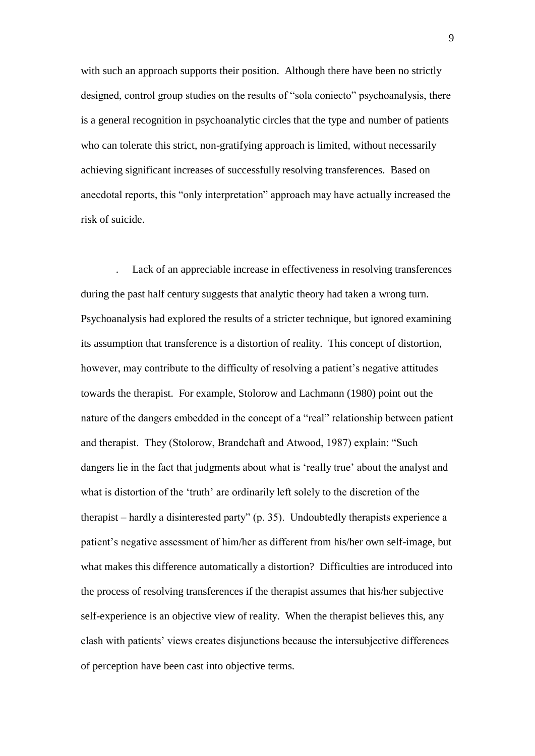with such an approach supports their position. Although there have been no strictly designed, control group studies on the results of "sola coniecto" psychoanalysis, there is a general recognition in psychoanalytic circles that the type and number of patients who can tolerate this strict, non-gratifying approach is limited, without necessarily achieving significant increases of successfully resolving transferences. Based on anecdotal reports, this "only interpretation" approach may have actually increased the risk of suicide.

. Lack of an appreciable increase in effectiveness in resolving transferences during the past half century suggests that analytic theory had taken a wrong turn. Psychoanalysis had explored the results of a stricter technique, but ignored examining its assumption that transference is a distortion of reality. This concept of distortion, however, may contribute to the difficulty of resolving a patient's negative attitudes towards the therapist. For example, Stolorow and Lachmann (1980) point out the nature of the dangers embedded in the concept of a "real" relationship between patient and therapist. They (Stolorow, Brandchaft and Atwood, 1987) explain: "Such dangers lie in the fact that judgments about what is 'really true' about the analyst and what is distortion of the 'truth' are ordinarily left solely to the discretion of the therapist – hardly a disinterested party" (p. 35). Undoubtedly therapists experience a patient"s negative assessment of him/her as different from his/her own self-image, but what makes this difference automatically a distortion? Difficulties are introduced into the process of resolving transferences if the therapist assumes that his/her subjective self-experience is an objective view of reality. When the therapist believes this, any clash with patients" views creates disjunctions because the intersubjective differences of perception have been cast into objective terms.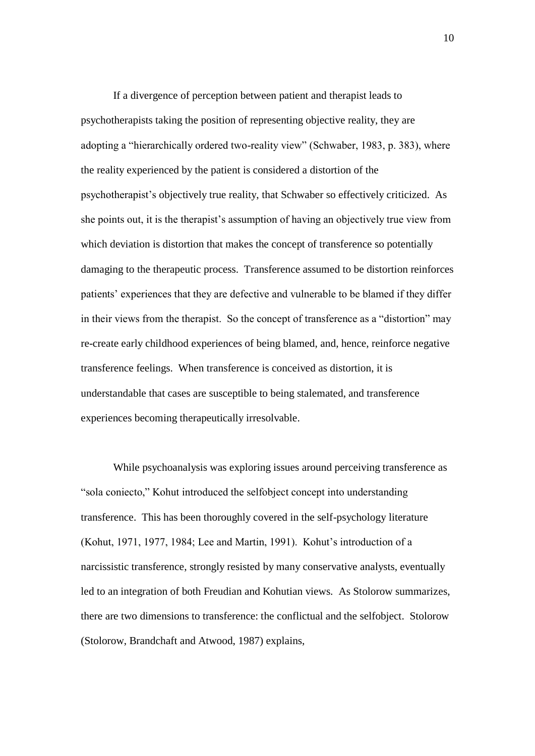If a divergence of perception between patient and therapist leads to psychotherapists taking the position of representing objective reality, they are adopting a "hierarchically ordered two-reality view" (Schwaber, 1983, p. 383), where the reality experienced by the patient is considered a distortion of the psychotherapist"s objectively true reality, that Schwaber so effectively criticized. As she points out, it is the therapist"s assumption of having an objectively true view from which deviation is distortion that makes the concept of transference so potentially damaging to the therapeutic process. Transference assumed to be distortion reinforces patients" experiences that they are defective and vulnerable to be blamed if they differ in their views from the therapist. So the concept of transference as a "distortion" may re-create early childhood experiences of being blamed, and, hence, reinforce negative transference feelings. When transference is conceived as distortion, it is understandable that cases are susceptible to being stalemated, and transference experiences becoming therapeutically irresolvable.

While psychoanalysis was exploring issues around perceiving transference as "sola coniecto," Kohut introduced the selfobject concept into understanding transference. This has been thoroughly covered in the self-psychology literature (Kohut, 1971, 1977, 1984; Lee and Martin, 1991). Kohut"s introduction of a narcissistic transference, strongly resisted by many conservative analysts, eventually led to an integration of both Freudian and Kohutian views. As Stolorow summarizes, there are two dimensions to transference: the conflictual and the selfobject. Stolorow (Stolorow, Brandchaft and Atwood, 1987) explains,

10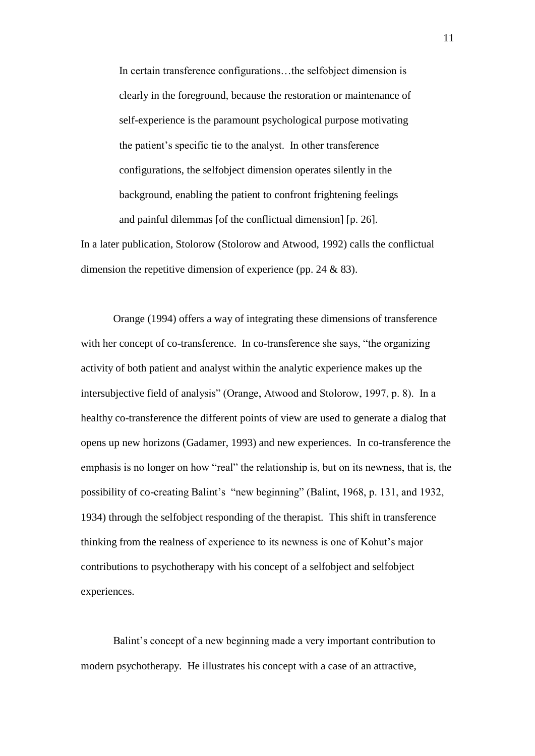In certain transference configurations…the selfobject dimension is clearly in the foreground, because the restoration or maintenance of self-experience is the paramount psychological purpose motivating the patient"s specific tie to the analyst. In other transference configurations, the selfobject dimension operates silently in the background, enabling the patient to confront frightening feelings and painful dilemmas [of the conflictual dimension] [p. 26].

In a later publication, Stolorow (Stolorow and Atwood, 1992) calls the conflictual dimension the repetitive dimension of experience (pp. 24 & 83).

Orange (1994) offers a way of integrating these dimensions of transference with her concept of co-transference. In co-transference she says, "the organizing activity of both patient and analyst within the analytic experience makes up the intersubjective field of analysis" (Orange, Atwood and Stolorow, 1997, p. 8). In a healthy co-transference the different points of view are used to generate a dialog that opens up new horizons (Gadamer, 1993) and new experiences. In co-transference the emphasis is no longer on how "real" the relationship is, but on its newness, that is, the possibility of co-creating Balint's "new beginning" (Balint, 1968, p. 131, and 1932, 1934) through the selfobject responding of the therapist. This shift in transference thinking from the realness of experience to its newness is one of Kohut"s major contributions to psychotherapy with his concept of a selfobject and selfobject experiences.

Balint"s concept of a new beginning made a very important contribution to modern psychotherapy. He illustrates his concept with a case of an attractive,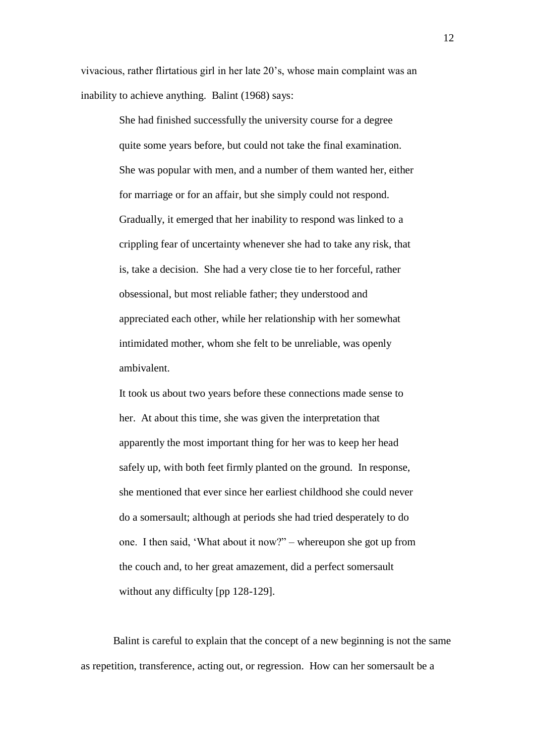vivacious, rather flirtatious girl in her late 20"s, whose main complaint was an inability to achieve anything. Balint (1968) says:

> She had finished successfully the university course for a degree quite some years before, but could not take the final examination. She was popular with men, and a number of them wanted her, either for marriage or for an affair, but she simply could not respond. Gradually, it emerged that her inability to respond was linked to a crippling fear of uncertainty whenever she had to take any risk, that is, take a decision. She had a very close tie to her forceful, rather obsessional, but most reliable father; they understood and appreciated each other, while her relationship with her somewhat intimidated mother, whom she felt to be unreliable, was openly ambivalent.

> It took us about two years before these connections made sense to her. At about this time, she was given the interpretation that apparently the most important thing for her was to keep her head safely up, with both feet firmly planted on the ground. In response, she mentioned that ever since her earliest childhood she could never do a somersault; although at periods she had tried desperately to do one. I then said, "What about it now?" – whereupon she got up from the couch and, to her great amazement, did a perfect somersault without any difficulty [pp 128-129].

Balint is careful to explain that the concept of a new beginning is not the same as repetition, transference, acting out, or regression. How can her somersault be a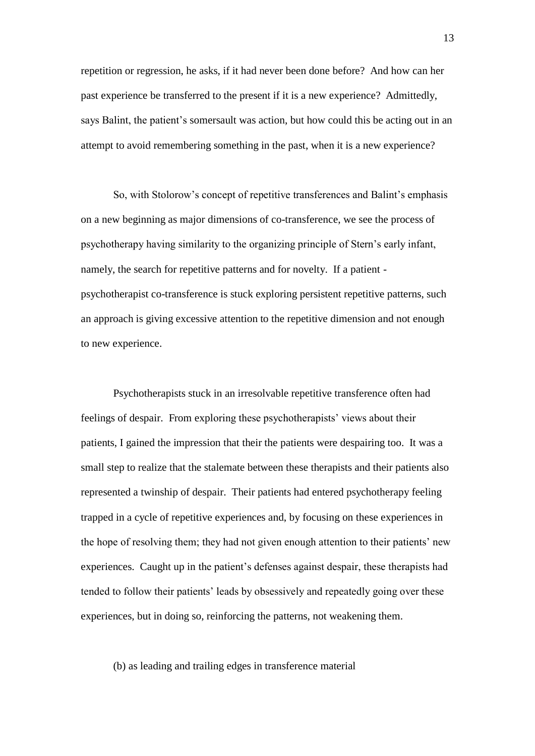repetition or regression, he asks, if it had never been done before? And how can her past experience be transferred to the present if it is a new experience? Admittedly, says Balint, the patient's somersault was action, but how could this be acting out in an attempt to avoid remembering something in the past, when it is a new experience?

So, with Stolorow"s concept of repetitive transferences and Balint"s emphasis on a new beginning as major dimensions of co-transference, we see the process of psychotherapy having similarity to the organizing principle of Stern"s early infant, namely, the search for repetitive patterns and for novelty. If a patient psychotherapist co-transference is stuck exploring persistent repetitive patterns, such an approach is giving excessive attention to the repetitive dimension and not enough to new experience.

Psychotherapists stuck in an irresolvable repetitive transference often had feelings of despair. From exploring these psychotherapists' views about their patients, I gained the impression that their the patients were despairing too. It was a small step to realize that the stalemate between these therapists and their patients also represented a twinship of despair. Their patients had entered psychotherapy feeling trapped in a cycle of repetitive experiences and, by focusing on these experiences in the hope of resolving them; they had not given enough attention to their patients" new experiences. Caught up in the patient"s defenses against despair, these therapists had tended to follow their patients" leads by obsessively and repeatedly going over these experiences, but in doing so, reinforcing the patterns, not weakening them.

## (b) as leading and trailing edges in transference material

13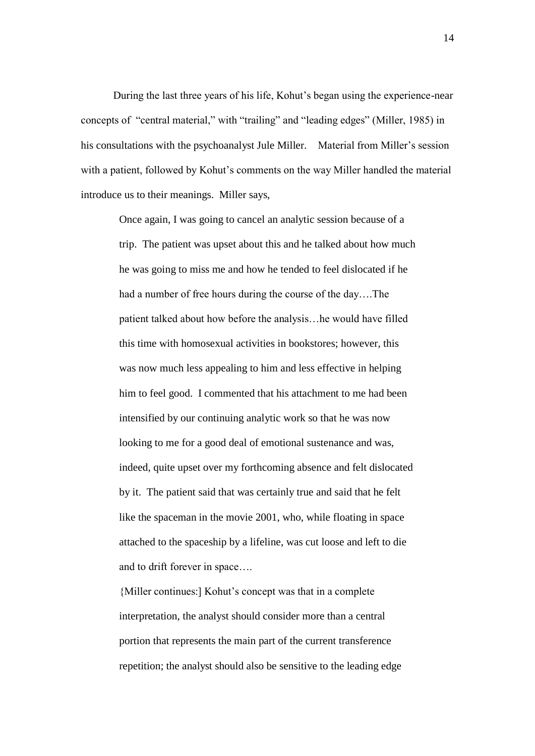During the last three years of his life, Kohut"s began using the experience-near concepts of "central material," with "trailing" and "leading edges" (Miller, 1985) in his consultations with the psychoanalyst Jule Miller. Material from Miller's session with a patient, followed by Kohut's comments on the way Miller handled the material introduce us to their meanings. Miller says,

Once again, I was going to cancel an analytic session because of a trip. The patient was upset about this and he talked about how much he was going to miss me and how he tended to feel dislocated if he had a number of free hours during the course of the day….The patient talked about how before the analysis…he would have filled this time with homosexual activities in bookstores; however, this was now much less appealing to him and less effective in helping him to feel good. I commented that his attachment to me had been intensified by our continuing analytic work so that he was now looking to me for a good deal of emotional sustenance and was, indeed, quite upset over my forthcoming absence and felt dislocated by it. The patient said that was certainly true and said that he felt like the spaceman in the movie 2001, who, while floating in space attached to the spaceship by a lifeline, was cut loose and left to die and to drift forever in space….

{Miller continues:] Kohut"s concept was that in a complete interpretation, the analyst should consider more than a central portion that represents the main part of the current transference repetition; the analyst should also be sensitive to the leading edge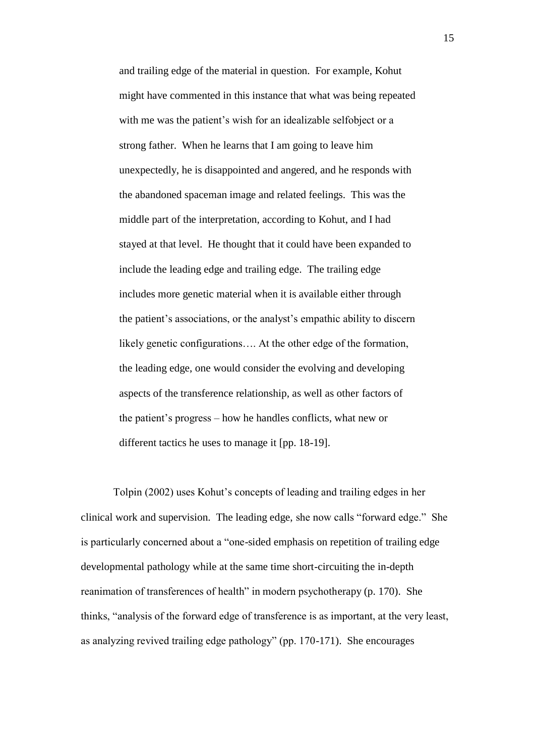and trailing edge of the material in question. For example, Kohut might have commented in this instance that what was being repeated with me was the patient's wish for an idealizable selfobject or a strong father. When he learns that I am going to leave him unexpectedly, he is disappointed and angered, and he responds with the abandoned spaceman image and related feelings. This was the middle part of the interpretation, according to Kohut, and I had stayed at that level. He thought that it could have been expanded to include the leading edge and trailing edge. The trailing edge includes more genetic material when it is available either through the patient's associations, or the analyst's empathic ability to discern likely genetic configurations…. At the other edge of the formation, the leading edge, one would consider the evolving and developing aspects of the transference relationship, as well as other factors of the patient"s progress – how he handles conflicts, what new or different tactics he uses to manage it [pp. 18-19].

Tolpin (2002) uses Kohut"s concepts of leading and trailing edges in her clinical work and supervision. The leading edge, she now calls "forward edge." She is particularly concerned about a "one-sided emphasis on repetition of trailing edge developmental pathology while at the same time short-circuiting the in-depth reanimation of transferences of health" in modern psychotherapy (p. 170). She thinks, "analysis of the forward edge of transference is as important, at the very least, as analyzing revived trailing edge pathology" (pp. 170-171). She encourages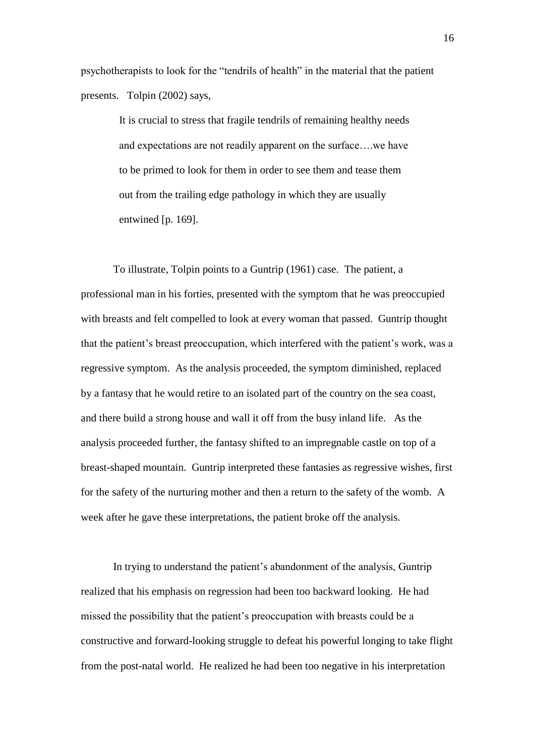psychotherapists to look for the "tendrils of health" in the material that the patient presents. Tolpin (2002) says,

> It is crucial to stress that fragile tendrils of remaining healthy needs and expectations are not readily apparent on the surface….we have to be primed to look for them in order to see them and tease them out from the trailing edge pathology in which they are usually entwined [p. 169].

To illustrate, Tolpin points to a Guntrip (1961) case. The patient, a professional man in his forties, presented with the symptom that he was preoccupied with breasts and felt compelled to look at every woman that passed. Guntrip thought that the patient"s breast preoccupation, which interfered with the patient"s work, was a regressive symptom. As the analysis proceeded, the symptom diminished, replaced by a fantasy that he would retire to an isolated part of the country on the sea coast, and there build a strong house and wall it off from the busy inland life. As the analysis proceeded further, the fantasy shifted to an impregnable castle on top of a breast-shaped mountain. Guntrip interpreted these fantasies as regressive wishes, first for the safety of the nurturing mother and then a return to the safety of the womb. A week after he gave these interpretations, the patient broke off the analysis.

In trying to understand the patient's abandonment of the analysis, Guntrip realized that his emphasis on regression had been too backward looking. He had missed the possibility that the patient's preoccupation with breasts could be a constructive and forward-looking struggle to defeat his powerful longing to take flight from the post-natal world. He realized he had been too negative in his interpretation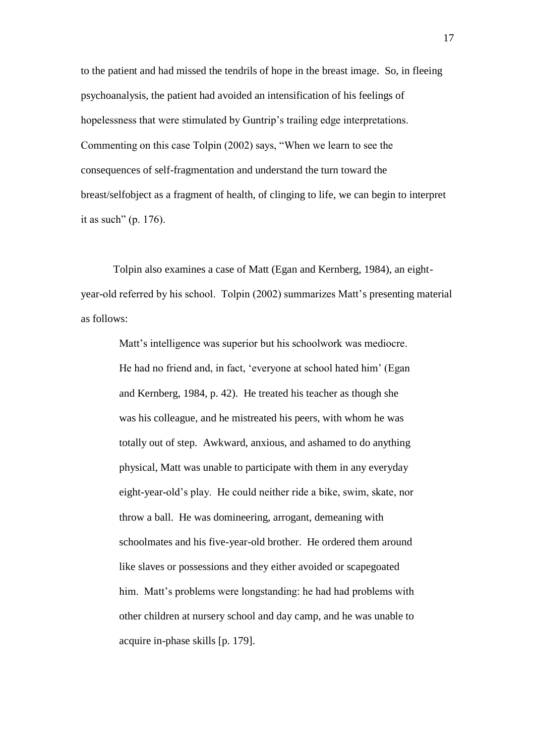to the patient and had missed the tendrils of hope in the breast image. So, in fleeing psychoanalysis, the patient had avoided an intensification of his feelings of hopelessness that were stimulated by Guntrip's trailing edge interpretations. Commenting on this case Tolpin (2002) says, "When we learn to see the consequences of self-fragmentation and understand the turn toward the breast/selfobject as a fragment of health, of clinging to life, we can begin to interpret it as such" (p. 176).

Tolpin also examines a case of Matt (Egan and Kernberg, 1984), an eightyear-old referred by his school. Tolpin (2002) summarizes Matt's presenting material as follows:

> Matt"s intelligence was superior but his schoolwork was mediocre. He had no friend and, in fact, 'everyone at school hated him' (Egan and Kernberg, 1984, p. 42). He treated his teacher as though she was his colleague, and he mistreated his peers, with whom he was totally out of step. Awkward, anxious, and ashamed to do anything physical, Matt was unable to participate with them in any everyday eight-year-old"s play. He could neither ride a bike, swim, skate, nor throw a ball. He was domineering, arrogant, demeaning with schoolmates and his five-year-old brother. He ordered them around like slaves or possessions and they either avoided or scapegoated him. Matt's problems were longstanding: he had had problems with other children at nursery school and day camp, and he was unable to acquire in-phase skills [p. 179].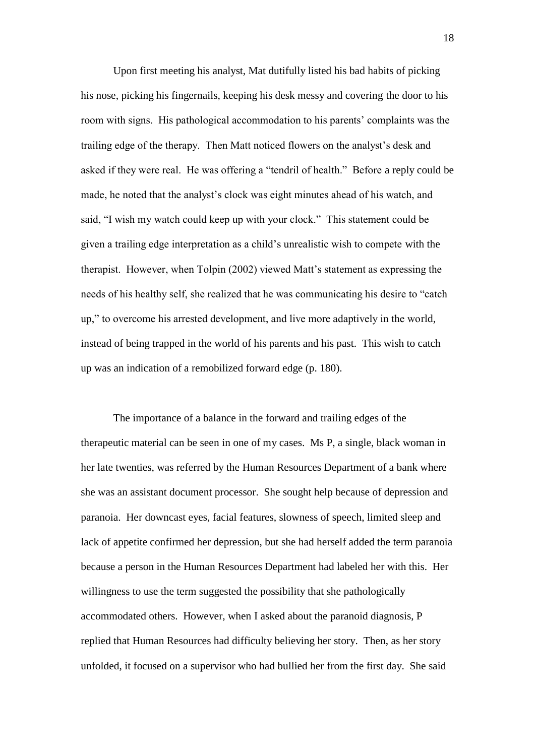Upon first meeting his analyst, Mat dutifully listed his bad habits of picking his nose, picking his fingernails, keeping his desk messy and covering the door to his room with signs. His pathological accommodation to his parents" complaints was the trailing edge of the therapy. Then Matt noticed flowers on the analyst"s desk and asked if they were real. He was offering a "tendril of health." Before a reply could be made, he noted that the analyst's clock was eight minutes ahead of his watch, and said, "I wish my watch could keep up with your clock." This statement could be given a trailing edge interpretation as a child"s unrealistic wish to compete with the therapist. However, when Tolpin (2002) viewed Matt"s statement as expressing the needs of his healthy self, she realized that he was communicating his desire to "catch up," to overcome his arrested development, and live more adaptively in the world, instead of being trapped in the world of his parents and his past. This wish to catch up was an indication of a remobilized forward edge (p. 180).

The importance of a balance in the forward and trailing edges of the therapeutic material can be seen in one of my cases. Ms P, a single, black woman in her late twenties, was referred by the Human Resources Department of a bank where she was an assistant document processor. She sought help because of depression and paranoia. Her downcast eyes, facial features, slowness of speech, limited sleep and lack of appetite confirmed her depression, but she had herself added the term paranoia because a person in the Human Resources Department had labeled her with this. Her willingness to use the term suggested the possibility that she pathologically accommodated others. However, when I asked about the paranoid diagnosis, P replied that Human Resources had difficulty believing her story. Then, as her story unfolded, it focused on a supervisor who had bullied her from the first day. She said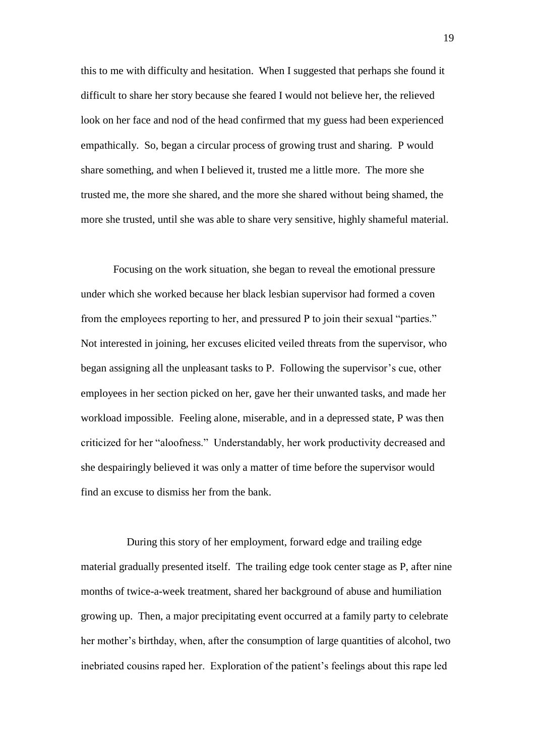this to me with difficulty and hesitation. When I suggested that perhaps she found it difficult to share her story because she feared I would not believe her, the relieved look on her face and nod of the head confirmed that my guess had been experienced empathically. So, began a circular process of growing trust and sharing. P would share something, and when I believed it, trusted me a little more. The more she trusted me, the more she shared, and the more she shared without being shamed, the more she trusted, until she was able to share very sensitive, highly shameful material.

Focusing on the work situation, she began to reveal the emotional pressure under which she worked because her black lesbian supervisor had formed a coven from the employees reporting to her, and pressured P to join their sexual "parties." Not interested in joining, her excuses elicited veiled threats from the supervisor, who began assigning all the unpleasant tasks to P. Following the supervisor's cue, other employees in her section picked on her, gave her their unwanted tasks, and made her workload impossible. Feeling alone, miserable, and in a depressed state, P was then criticized for her "aloofness." Understandably, her work productivity decreased and she despairingly believed it was only a matter of time before the supervisor would find an excuse to dismiss her from the bank.

 During this story of her employment, forward edge and trailing edge material gradually presented itself. The trailing edge took center stage as P, after nine months of twice-a-week treatment, shared her background of abuse and humiliation growing up. Then, a major precipitating event occurred at a family party to celebrate her mother's birthday, when, after the consumption of large quantities of alcohol, two inebriated cousins raped her. Exploration of the patient"s feelings about this rape led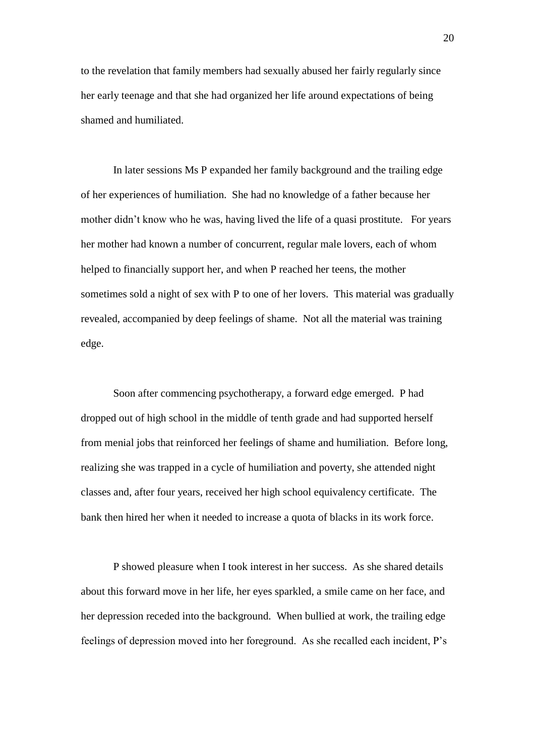to the revelation that family members had sexually abused her fairly regularly since her early teenage and that she had organized her life around expectations of being shamed and humiliated.

In later sessions Ms P expanded her family background and the trailing edge of her experiences of humiliation. She had no knowledge of a father because her mother didn"t know who he was, having lived the life of a quasi prostitute. For years her mother had known a number of concurrent, regular male lovers, each of whom helped to financially support her, and when P reached her teens, the mother sometimes sold a night of sex with P to one of her lovers. This material was gradually revealed, accompanied by deep feelings of shame. Not all the material was training edge.

Soon after commencing psychotherapy, a forward edge emerged. P had dropped out of high school in the middle of tenth grade and had supported herself from menial jobs that reinforced her feelings of shame and humiliation. Before long, realizing she was trapped in a cycle of humiliation and poverty, she attended night classes and, after four years, received her high school equivalency certificate. The bank then hired her when it needed to increase a quota of blacks in its work force.

P showed pleasure when I took interest in her success. As she shared details about this forward move in her life, her eyes sparkled, a smile came on her face, and her depression receded into the background. When bullied at work, the trailing edge feelings of depression moved into her foreground. As she recalled each incident, P"s

20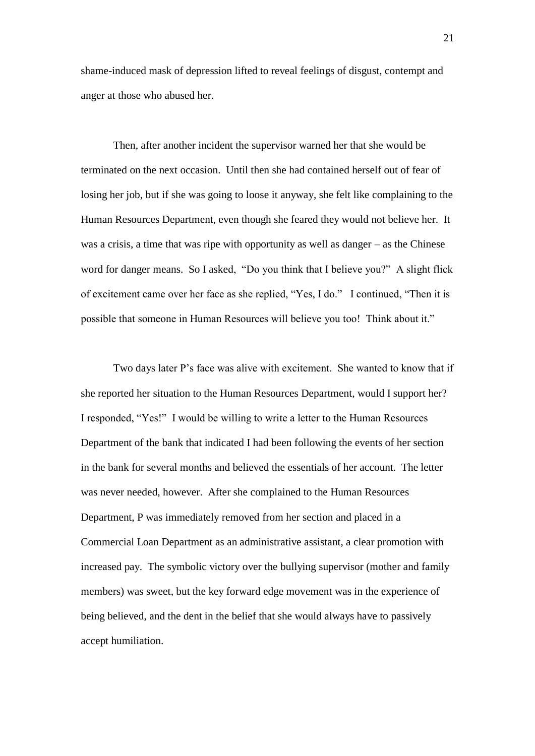shame-induced mask of depression lifted to reveal feelings of disgust, contempt and anger at those who abused her.

Then, after another incident the supervisor warned her that she would be terminated on the next occasion. Until then she had contained herself out of fear of losing her job, but if she was going to loose it anyway, she felt like complaining to the Human Resources Department, even though she feared they would not believe her. It was a crisis, a time that was ripe with opportunity as well as danger – as the Chinese word for danger means. So I asked, "Do you think that I believe you?" A slight flick of excitement came over her face as she replied, "Yes, I do." I continued, "Then it is possible that someone in Human Resources will believe you too! Think about it."

Two days later P"s face was alive with excitement. She wanted to know that if she reported her situation to the Human Resources Department, would I support her? I responded, "Yes!" I would be willing to write a letter to the Human Resources Department of the bank that indicated I had been following the events of her section in the bank for several months and believed the essentials of her account. The letter was never needed, however. After she complained to the Human Resources Department, P was immediately removed from her section and placed in a Commercial Loan Department as an administrative assistant, a clear promotion with increased pay. The symbolic victory over the bullying supervisor (mother and family members) was sweet, but the key forward edge movement was in the experience of being believed, and the dent in the belief that she would always have to passively accept humiliation.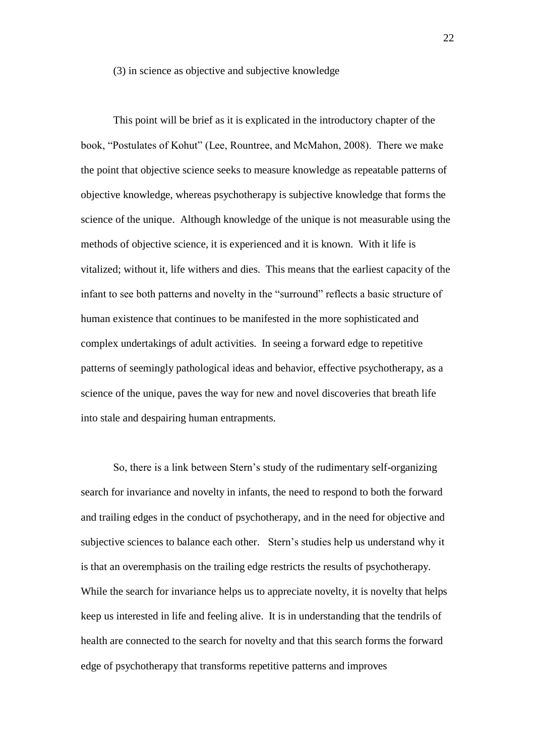#### (3) in science as objective and subjective knowledge

This point will be brief as it is explicated in the introductory chapter of the book, "Postulates of Kohut" (Lee, Rountree, and McMahon, 2008). There we make the point that objective science seeks to measure knowledge as repeatable patterns of objective knowledge, whereas psychotherapy is subjective knowledge that forms the science of the unique. Although knowledge of the unique is not measurable using the methods of objective science, it is experienced and it is known. With it life is vitalized; without it, life withers and dies. This means that the earliest capacity of the infant to see both patterns and novelty in the "surround" reflects a basic structure of human existence that continues to be manifested in the more sophisticated and complex undertakings of adult activities. In seeing a forward edge to repetitive patterns of seemingly pathological ideas and behavior, effective psychotherapy, as a science of the unique, paves the way for new and novel discoveries that breath life into stale and despairing human entrapments.

So, there is a link between Stern"s study of the rudimentary self-organizing search for invariance and novelty in infants, the need to respond to both the forward and trailing edges in the conduct of psychotherapy, and in the need for objective and subjective sciences to balance each other. Stern's studies help us understand why it is that an overemphasis on the trailing edge restricts the results of psychotherapy. While the search for invariance helps us to appreciate novelty, it is novelty that helps keep us interested in life and feeling alive. It is in understanding that the tendrils of health are connected to the search for novelty and that this search forms the forward edge of psychotherapy that transforms repetitive patterns and improves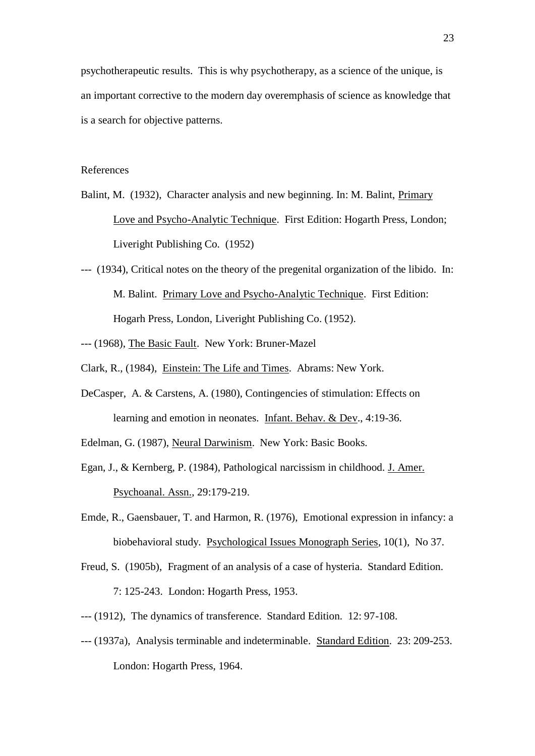psychotherapeutic results. This is why psychotherapy, as a science of the unique, is an important corrective to the modern day overemphasis of science as knowledge that is a search for objective patterns.

## References

- Balint, M. (1932), Character analysis and new beginning. In: M. Balint, Primary Love and Psycho-Analytic Technique. First Edition: Hogarth Press, London; Liveright Publishing Co. (1952)
- --- (1934), Critical notes on the theory of the pregenital organization of the libido. In: M. Balint. Primary Love and Psycho-Analytic Technique. First Edition: Hogarh Press, London, Liveright Publishing Co. (1952).
- --- (1968), The Basic Fault. New York: Bruner-Mazel
- Clark, R., (1984), Einstein: The Life and Times. Abrams: New York.
- DeCasper, A. & Carstens, A. (1980), Contingencies of stimulation: Effects on learning and emotion in neonates. Infant. Behav. & Dev., 4:19-36.
- Edelman, G. (1987), Neural Darwinism. New York: Basic Books.
- Egan, J., & Kernberg, P. (1984), Pathological narcissism in childhood. J. Amer. Psychoanal. Assn., 29:179-219.
- Emde, R., Gaensbauer, T. and Harmon, R. (1976), Emotional expression in infancy: a biobehavioral study. Psychological Issues Monograph Series, 10(1), No 37.
- Freud, S. (1905b), Fragment of an analysis of a case of hysteria. Standard Edition. 7: 125-243. London: Hogarth Press, 1953.
- --- (1912), The dynamics of transference. Standard Edition. 12: 97-108.
- --- (1937a), Analysis terminable and indeterminable. Standard Edition. 23: 209-253. London: Hogarth Press, 1964.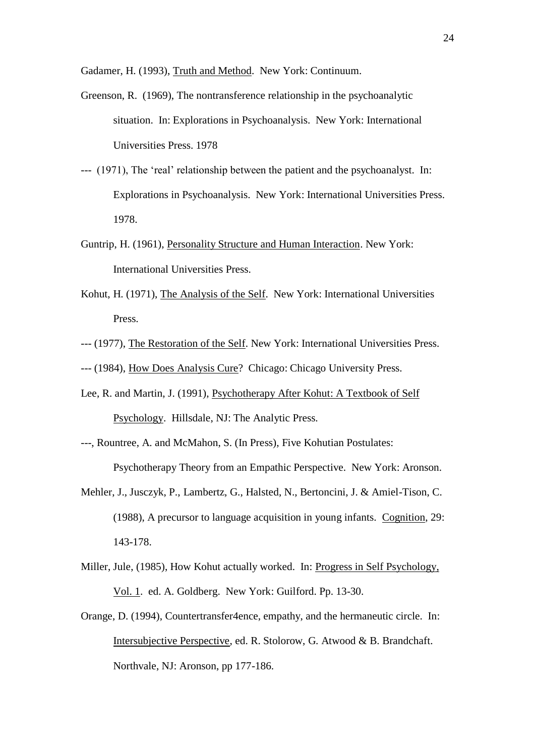Gadamer, H. (1993), Truth and Method. New York: Continuum.

- Greenson, R. (1969), The nontransference relationship in the psychoanalytic situation. In: Explorations in Psychoanalysis. New York: International Universities Press. 1978
- --- (1971), The "real" relationship between the patient and the psychoanalyst. In: Explorations in Psychoanalysis. New York: International Universities Press. 1978.
- Guntrip, H. (1961), Personality Structure and Human Interaction. New York: International Universities Press.
- Kohut, H. (1971), The Analysis of the Self. New York: International Universities Press.
- --- (1977), The Restoration of the Self. New York: International Universities Press.
- --- (1984), How Does Analysis Cure? Chicago: Chicago University Press.
- Lee, R. and Martin, J. (1991), Psychotherapy After Kohut: A Textbook of Self Psychology. Hillsdale, NJ: The Analytic Press.
- ---, Rountree, A. and McMahon, S. (In Press), Five Kohutian Postulates:

Psychotherapy Theory from an Empathic Perspective. New York: Aronson.

- Mehler, J., Jusczyk, P., Lambertz, G., Halsted, N., Bertoncini, J. & Amiel-Tison, C. (1988), A precursor to language acquisition in young infants. Cognition, 29: 143-178.
- Miller, Jule, (1985), How Kohut actually worked. In: Progress in Self Psychology, Vol. 1. ed. A. Goldberg. New York: Guilford. Pp. 13-30.
- Orange, D. (1994), Countertransfer4ence, empathy, and the hermaneutic circle. In: Intersubjective Perspective, ed. R. Stolorow, G. Atwood & B. Brandchaft. Northvale, NJ: Aronson, pp 177-186.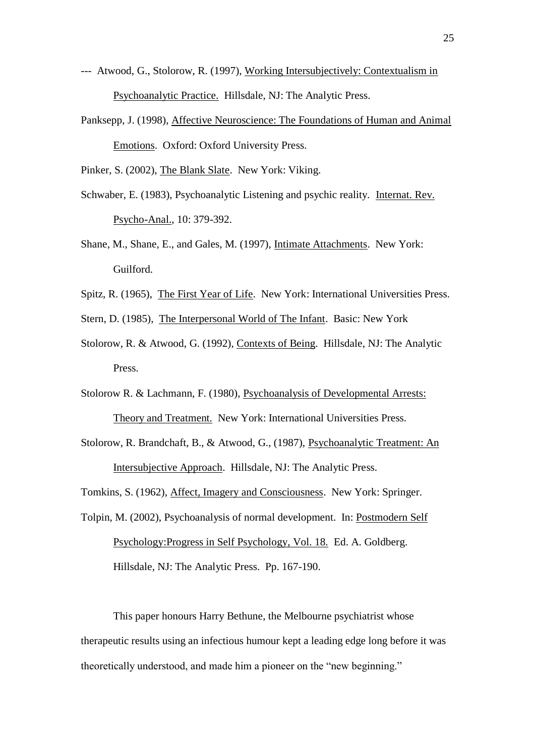- --- Atwood, G., Stolorow, R. (1997), Working Intersubjectively: Contextualism in Psychoanalytic Practice. Hillsdale, NJ: The Analytic Press.
- Panksepp, J. (1998), Affective Neuroscience: The Foundations of Human and Animal Emotions. Oxford: Oxford University Press.

Pinker, S. (2002), The Blank Slate. New York: Viking.

- Schwaber, E. (1983), Psychoanalytic Listening and psychic reality. Internat. Rev. Psycho-Anal., 10: 379-392.
- Shane, M., Shane, E., and Gales, M. (1997), Intimate Attachments. New York: Guilford.
- Spitz, R. (1965), The First Year of Life. New York: International Universities Press.
- Stern, D. (1985), The Interpersonal World of The Infant. Basic: New York
- Stolorow, R. & Atwood, G. (1992), Contexts of Being. Hillsdale, NJ: The Analytic Press.
- Stolorow R. & Lachmann, F. (1980), Psychoanalysis of Developmental Arrests: Theory and Treatment. New York: International Universities Press.
- Stolorow, R. Brandchaft, B., & Atwood, G., (1987), Psychoanalytic Treatment: An Intersubjective Approach. Hillsdale, NJ: The Analytic Press.
- Tomkins, S. (1962), Affect, Imagery and Consciousness. New York: Springer.
- Tolpin, M. (2002), Psychoanalysis of normal development. In: Postmodern Self Psychology:Progress in Self Psychology, Vol. 18. Ed. A. Goldberg. Hillsdale, NJ: The Analytic Press. Pp. 167-190.

This paper honours Harry Bethune, the Melbourne psychiatrist whose therapeutic results using an infectious humour kept a leading edge long before it was theoretically understood, and made him a pioneer on the "new beginning."